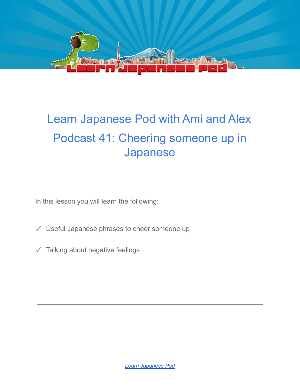

# Learn Japanese Pod with Ami and Alex Podcast 41: Cheering someone up in Japanese

In this lesson you will learn the following:

- ✓ Useful Japanese phrases to cheer someone up
- ✓ Talking about negative feelings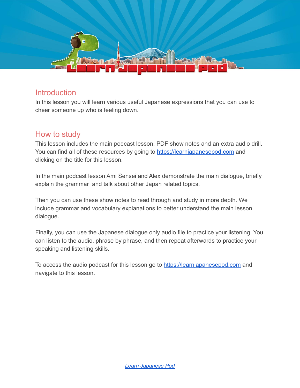

#### **Introduction**

In this lesson you will learn various useful Japanese expressions that you can use to cheer someone up who is feeling down.

#### How to study

This lesson includes the main podcast lesson, PDF show notes and an extra audio drill. You can find all of these resources by going to <https://learnjapanesepod.com> and clicking on the title for this lesson.

In the main podcast lesson Ami Sensei and Alex demonstrate the main dialogue, briefly explain the grammar and talk about other Japan related topics.

Then you can use these show notes to read through and study in more depth. We include grammar and vocabulary explanations to better understand the main lesson dialogue.

Finally, you can use the Japanese dialogue only audio file to practice your listening. You can listen to the audio, phrase by phrase, and then repeat afterwards to practice your speaking and listening skills.

To access the audio podcast for this lesson go to <https://learnjapanesepod.com> and navigate to this lesson.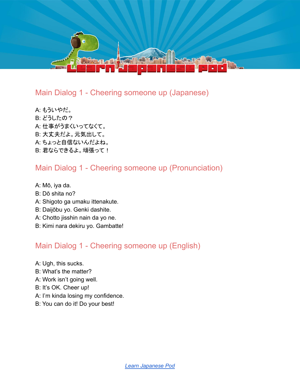

#### Main Dialog 1 - Cheering someone up (Japanese)

- A: もういやだ。
- B: どうしたの?
- A: 仕事がうまくいってなくて。
- B: 大丈夫だよ。元気出して。
- A: ちょっと自信ないんだよね。
- B: 君ならできるよ。頑張って!

### Main Dialog 1 - Cheering someone up (Pronunciation)

- A: Mō, iya da.
- B: Dō shita no?
- A: Shigoto ga umaku ittenakute.
- B: Daijōbu yo. Genki dashite.
- A: Chotto jisshin nain da yo ne.
- B: Kimi nara dekiru yo. Gambatte!

## Main Dialog 1 - Cheering someone up (English)

- A: Ugh, this sucks.
- B: What's the matter?
- A: Work isn't going well.
- B: It's OK. Cheer up!
- A: I'm kinda losing my confidence.
- B: You can do it! Do your best!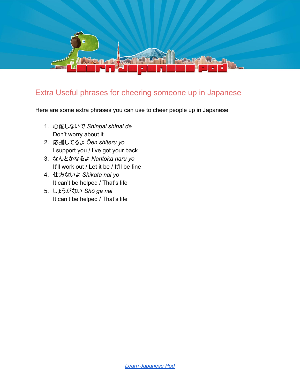

#### Extra Useful phrases for cheering someone up in Japanese

Here are some extra phrases you can use to cheer people up in Japanese

- 1. 心配しないで *Shinpai shinai de* Don't worry about it
- 2. 応援してるよ *Ōen shiteru yo* I support you / I've got your back
- 3. なんとかなるよ *Nantoka naru yo* It'll work out / Let it be / It'll be fine
- 4. 仕方ないよ *Shikata nai yo* It can't be helped / That's life
- 5. しょうがない *Shō ga nai* It can't be helped / That's life